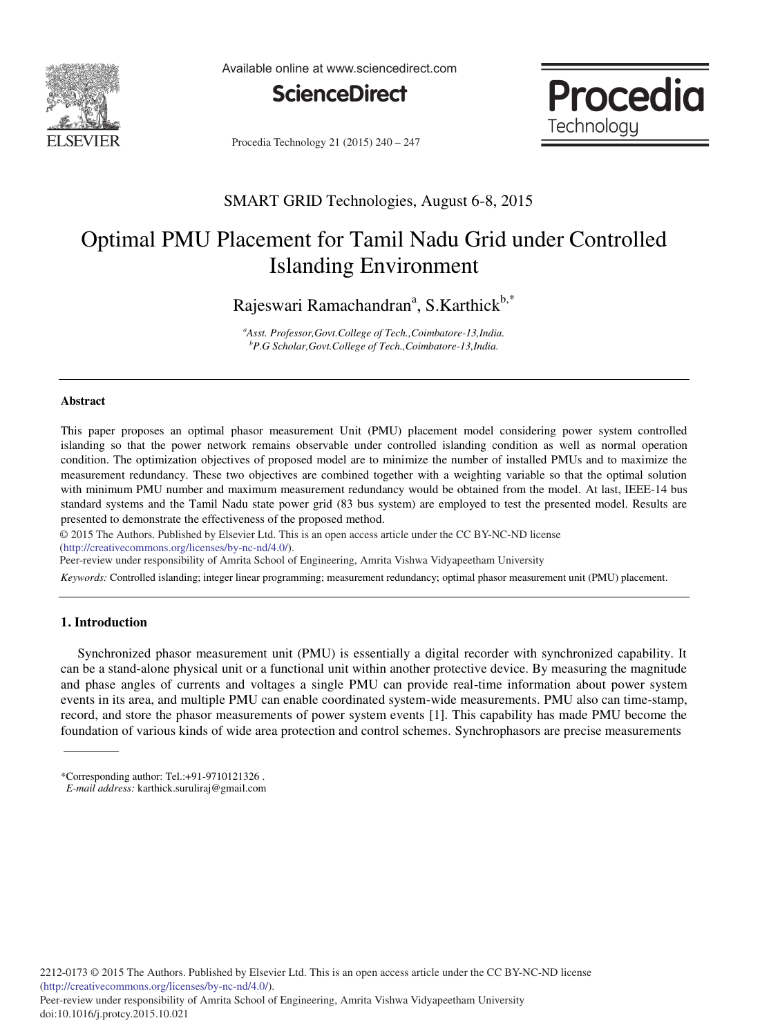

Available online at www.sciencedirect.com





Procedia Technology 21 (2015) 240 - 247

## SMART GRID Technologies, August 6-8, 2015

# Optimal PMU Placement for Tamil Nadu Grid under Controlled Islanding Environment

Rajeswari Ramachandran<sup>a</sup>, S.Karthick<sup>b,\*</sup>

*a Asst. Professor,Govt.College of Tech.,Coimbatore-13,India. b P.G Scholar,Govt.College of Tech.,Coimbatore-13,India.*

#### **Abstract**

This paper proposes an optimal phasor measurement Unit (PMU) placement model considering power system controlled islanding so that the power network remains observable under controlled islanding condition as well as normal operation condition. The optimization objectives of proposed model are to minimize the number of installed PMUs and to maximize the measurement redundancy. These two objectives are combined together with a weighting variable so that the optimal solution with minimum PMU number and maximum measurement redundancy would be obtained from the model. At last, IEEE-14 bus standard systems and the Tamil Nadu state power grid (83 bus system) are employed to test the presented model. Results are presented to demonstrate the effectiveness of the proposed method.

© 2015 The Authors. Published by Elsevier Ltd. © 2015 The Authors. Published by Elsevier Ltd. This is an open access article under the CC BY-NC-ND license (http://creativecommons.org/licenses/by-nc-nd/4.0/).

Peer-review under responsibility of Amrita School of Engineering, Amrita Vishwa Vidyapeetham University

*Keywords:* Controlled islanding; integer linear programming; measurement redundancy; optimal phasor measurement unit (PMU) placement.

### **1. Introduction**

 Synchronized phasor measurement unit (PMU) is essentially a digital recorder with synchronized capability. It can be a stand-alone physical unit or a functional unit within another protective device. By measuring the magnitude and phase angles of currents and voltages a single PMU can provide real-time information about power system events in its area, and multiple PMU can enable coordinated system-wide measurements. PMU also can time-stamp, record, and store the phasor measurements of power system events [1]. This capability has made PMU become the foundation of various kinds of wide area protection and control schemes. Synchrophasors are precise measurements

<sup>\*</sup>Corresponding author: Tel.:+91-9710121326 .

*E-mail address:* karthick.suruliraj@gmail.com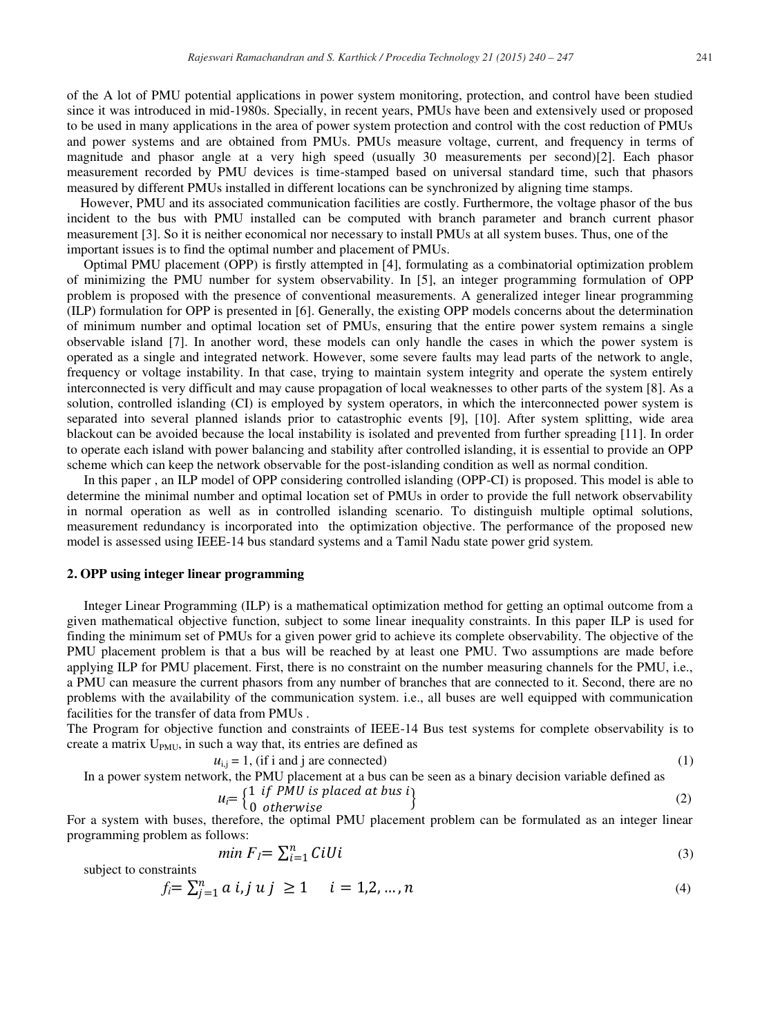of the A lot of PMU potential applications in power system monitoring, protection, and control have been studied since it was introduced in mid-1980s. Specially, in recent years, PMUs have been and extensively used or proposed to be used in many applications in the area of power system protection and control with the cost reduction of PMUs and power systems and are obtained from PMUs. PMUs measure voltage, current, and frequency in terms of magnitude and phasor angle at a very high speed (usually 30 measurements per second)[2]. Each phasor measurement recorded by PMU devices is time-stamped based on universal standard time, such that phasors measured by different PMUs installed in different locations can be synchronized by aligning time stamps.

However, PMU and its associated communication facilities are costly. Furthermore, the voltage phasor of the bus incident to the bus with PMU installed can be computed with branch parameter and branch current phasor measurement [3]. So it is neither economical nor necessary to install PMUs at all system buses. Thus, one of the important issues is to find the optimal number and placement of PMUs.

 Optimal PMU placement (OPP) is firstly attempted in [4], formulating as a combinatorial optimization problem of minimizing the PMU number for system observability. In [5], an integer programming formulation of OPP problem is proposed with the presence of conventional measurements. A generalized integer linear programming (ILP) formulation for OPP is presented in [6]. Generally, the existing OPP models concerns about the determination of minimum number and optimal location set of PMUs, ensuring that the entire power system remains a single observable island [7]. In another word, these models can only handle the cases in which the power system is operated as a single and integrated network. However, some severe faults may lead parts of the network to angle, frequency or voltage instability. In that case, trying to maintain system integrity and operate the system entirely interconnected is very difficult and may cause propagation of local weaknesses to other parts of the system [8]. As a solution, controlled islanding (CI) is employed by system operators, in which the interconnected power system is separated into several planned islands prior to catastrophic events [9], [10]. After system splitting, wide area blackout can be avoided because the local instability is isolated and prevented from further spreading [11]. In order to operate each island with power balancing and stability after controlled islanding, it is essential to provide an OPP scheme which can keep the network observable for the post-islanding condition as well as normal condition.

 In this paper , an ILP model of OPP considering controlled islanding (OPP-CI) is proposed. This model is able to determine the minimal number and optimal location set of PMUs in order to provide the full network observability in normal operation as well as in controlled islanding scenario. To distinguish multiple optimal solutions, measurement redundancy is incorporated into the optimization objective. The performance of the proposed new model is assessed using IEEE-14 bus standard systems and a Tamil Nadu state power grid system.

### **2. OPP using integer linear programming**

 Integer Linear Programming (ILP) is a mathematical optimization method for getting an optimal outcome from a given mathematical objective function, subject to some linear inequality constraints. In this paper ILP is used for finding the minimum set of PMUs for a given power grid to achieve its complete observability. The objective of the PMU placement problem is that a bus will be reached by at least one PMU. Two assumptions are made before applying ILP for PMU placement. First, there is no constraint on the number measuring channels for the PMU, i.e., a PMU can measure the current phasors from any number of branches that are connected to it. Second, there are no problems with the availability of the communication system. i.e., all buses are well equipped with communication facilities for the transfer of data from PMUs .

The Program for objective function and constraints of IEEE-14 Bus test systems for complete observability is to create a matrix  $U_{PMU}$ , in such a way that, its entries are defined as

$$
u_{i,j} = 1, \text{ (if i and j are connected)}\tag{1}
$$

In a power system network, the PMU placement at a bus can be seen as a binary decision variable defined as

$$
u_i = \begin{cases} 1 & \text{if } PMU \text{ is placed at bus } i \\ 0 & \text{otherwise} \end{cases}
$$
 (2)

For a system with buses, therefore, the optimal PMU placement problem can be formulated as an integer linear programming problem as follows:

$$
min F_I = \sum_{i=1}^{n} C_i U_i
$$
\n<sup>(3)</sup>

subject to constraints

$$
f_i = \sum_{j=1}^n a \ i, j \ u \ j \ \ge 1 \qquad i = 1, 2, \dots, n \tag{4}
$$